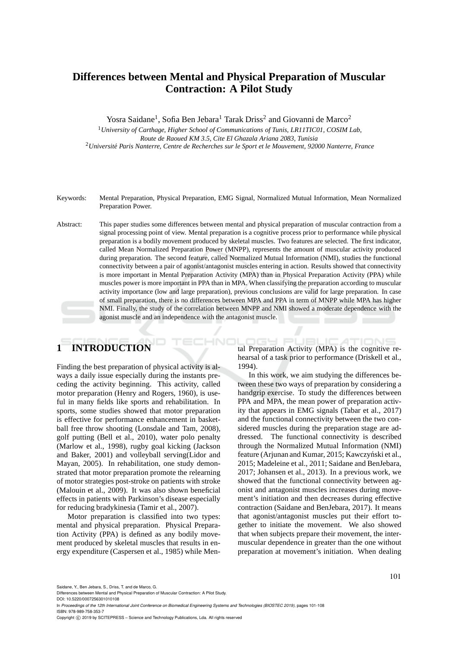# **Differences between Mental and Physical Preparation of Muscular Contraction: A Pilot Study**

Yosra Saidane<sup>1</sup>, Sofia Ben Jebara<sup>1</sup> Tarak Driss<sup>2</sup> and Giovanni de Marco<sup>2</sup>

<sup>1</sup>*University of Carthage, Higher School of Communications of Tunis, LR11TIC01, COSIM Lab, Route de Raoued KM 3.5, Cite El Ghazala Ariana 2083, Tunisia* <sup>2</sup>Université Paris Nanterre, Centre de Recherches sur le Sport et le Mouvement, 92000 Nanterre, France

Keywords: Mental Preparation, Physical Preparation, EMG Signal, Normalized Mutual Information, Mean Normalized Preparation Power.

Abstract: This paper studies some differences between mental and physical preparation of muscular contraction from a signal processing point of view. Mental preparation is a cognitive process prior to performance while physical preparation is a bodily movement produced by skeletal muscles. Two features are selected. The first indicator, called Mean Normalized Preparation Power (MNPP), represents the amount of muscular activity produced during preparation. The second feature, called Normalized Mutual Information (NMI), studies the functional connectivity between a pair of agonist/antagonist muscles entering in action. Results showed that connectivity is more important in Mental Preparation Activity (MPA) than in Physical Preparation Activity (PPA) while muscles power is more important in PPA than in MPA. When classifying the preparation according to muscular activity importance (low and large preparation), previous conclusions are valid for large preparation. In case of small preparation, there is no differences between MPA and PPA in term of MNPP while MPA has higher NMI. Finally, the study of the correlation between MNPP and NMI showed a moderate dependence with the agonist muscle and an independence with the antagonist muscle.

# **1 INTRODUCTION**

Finding the best preparation of physical activity is always a daily issue especially during the instants preceding the activity beginning. This activity, called motor preparation (Henry and Rogers, 1960), is useful in many fields like sports and rehabilitation. In sports, some studies showed that motor preparation is effective for performance enhancement in basketball free throw shooting (Lonsdale and Tam, 2008), golf putting (Bell et al., 2010), water polo penalty (Marlow et al., 1998), rugby goal kicking (Jackson and Baker, 2001) and volleyball serving(Lidor and Mayan, 2005). In rehabilitation, one study demonstrated that motor preparation promote the relearning of motor strategies post-stroke on patients with stroke (Malouin et al., 2009). It was also shown beneficial effects in patients with Parkinson's disease especially for reducing bradykinesia (Tamir et al., 2007).

Motor preparation is classified into two types: mental and physical preparation. Physical Preparation Activity (PPA) is defined as any bodily movement produced by skeletal muscles that results in energy expenditure (Caspersen et al., 1985) while Men-

HNO tal Preparation Activity (MPA) is the cognitive rehearsal of a task prior to performance (Driskell et al., 1994).

> In this work, we aim studying the differences between these two ways of preparation by considering a handgrip exercise. To study the differences between PPA and MPA, the mean power of preparation activity that appears in EMG signals (Tabar et al., 2017) and the functional connectivity between the two considered muscles during the preparation stage are addressed. The functional connectivity is described through the Normalized Mutual Information (NMI) feature (Arjunan and Kumar, 2015; Kawczyński et al., 2015; Madeleine et al., 2011; Saidane and BenJebara, 2017; Johansen et al., 2013). In a previous work, we showed that the functional connectivity between agonist and antagonist muscles increases during movement's initiation and then decreases during effective contraction (Saidane and BenJebara, 2017). It means that agonist/antagonist muscles put their effort together to initiate the movement. We also showed that when subjects prepare their movement, the intermuscular dependence in greater than the one without preparation at movement's initiation. When dealing

Saidane, Y., Ben Jebara, S., Driss, T. and de Marco, G.

Differences between Mental and Physical Preparation of Muscular Contraction: A Pilot Study.

DOI: 10.5220/0007256301010108 In *Proceedings of the 12th International Joint Conference on Biomedical Engineering Systems and Technologies (BIOSTEC 2019)*, pages 101-108

ISBN: 978-989-758-353-7

Copyright © 2019 by SCITEPRESS - Science and Technology Publications, Lda. All rights reserved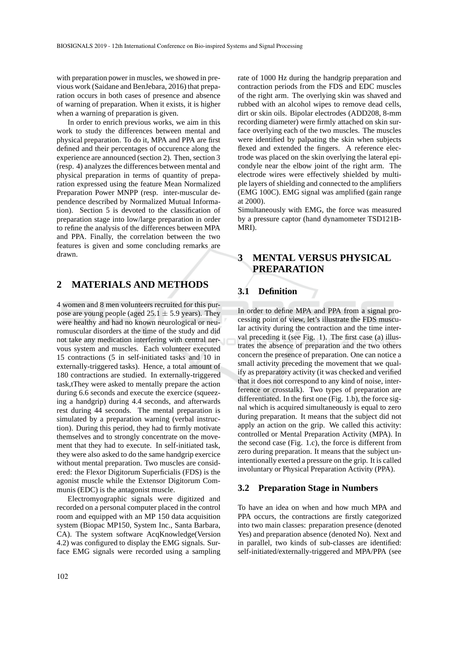with preparation power in muscles, we showed in previous work (Saidane and BenJebara, 2016) that preparation occurs in both cases of presence and absence of warning of preparation. When it exists, it is higher when a warning of preparation is given.

In order to enrich previous works, we aim in this work to study the differences between mental and physical preparation. To do it, MPA and PPA are first defined and their percentages of occurence along the experience are announced (section 2). Then, section 3 (resp. 4) analyzes the differences between mental and physical preparation in terms of quantity of preparation expressed using the feature Mean Normalized Preparation Power MNPP (resp. inter-muscular dependence described by Normalized Mutual Information). Section 5 is devoted to the classification of preparation stage into low/large preparation in order to refine the analysis of the differences between MPA and PPA. Finally, the correlation between the two features is given and some concluding remarks are drawn.

### **2 MATERIALS AND METHODS**

4 women and 8 men volunteers recruited for this purpose are young people (aged  $25.1 \pm 5.9$  years). They were healthy and had no known neurological or neuromuscular disorders at the time of the study and did not take any medication interfering with central nervous system and muscles. Each volunteer executed 15 contractions (5 in self-initiated tasks and 10 in externally-triggered tasks). Hence, a total amount of 180 contractions are studied. In externally-triggered task,tThey were asked to mentally prepare the action during 6.6 seconds and execute the exercice (squeezing a handgrip) during 4.4 seconds, and afterwards rest during 44 seconds. The mental preparation is simulated by a preparation warning (verbal instruction). During this period, they had to firmly motivate themselves and to strongly concentrate on the movement that they had to execute. In self-initiated task, they were also asked to do the same handgrip exercice without mental preparation. Two muscles are considered: the Flexor Digitorum Superficialis (FDS) is the agonist muscle while the Extensor Digitorum Communis (EDC) is the antagonist muscle.

Electromyographic signals were digitized and recorded on a personal computer placed in the control room and equipped with an MP 150 data acquisition system (Biopac MP150, System Inc., Santa Barbara, CA). The system software AcqKnowledge(Version 4.2) was configured to display the EMG signals. Surface EMG signals were recorded using a sampling

rate of 1000 Hz during the handgrip preparation and contraction periods from the FDS and EDC muscles of the right arm. The overlying skin was shaved and rubbed with an alcohol wipes to remove dead cells, dirt or skin oils. Bipolar electrodes (ADD208, 8-mm recording diameter) were firmly attached on skin surface overlying each of the two muscles. The muscles were identified by palpating the skin when subjects flexed and extended the fingers. A reference electrode was placed on the skin overlying the lateral epicondyle near the elbow joint of the right arm. The electrode wires were effectively shielded by multiple layers of shielding and connected to the amplifiers (EMG 100C). EMG signal was amplified (gain range at 2000).

Simultaneously with EMG, the force was measured by a pressure captor (hand dynamometer TSD121B-MRI).

# **3 MENTAL VERSUS PHYSICAL PREPARATION**

#### **3.1 Definition**

In order to define MPA and PPA from a signal processing point of view, let's illustrate the FDS muscular activity during the contraction and the time interval preceding it (see Fig. 1). The first case (a) illustrates the absence of preparation and the two others concern the presence of preparation. One can notice a small activity preceding the movement that we qualify as preparatory activity (it was checked and verified that it does not correspond to any kind of noise, interference or crosstalk). Two types of preparation are differentiated. In the first one (Fig. 1.b), the force signal which is acquired simultaneously is equal to zero during preparation. It means that the subject did not apply an action on the grip. We called this activity: controlled or Mental Preparation Activity (MPA). In the second case (Fig. 1.c), the force is different from zero during preparation. It means that the subject unintentionally exerted a pressure on the grip. It is called involuntary or Physical Preparation Activity (PPA).

#### **3.2 Preparation Stage in Numbers**

To have an idea on when and how much MPA and PPA occurs, the contractions are firstly categorized into two main classes: preparation presence (denoted Yes) and preparation absence (denoted No). Next and in parallel, two kinds of sub-classes are identified: self-initiated/externally-triggered and MPA/PPA (see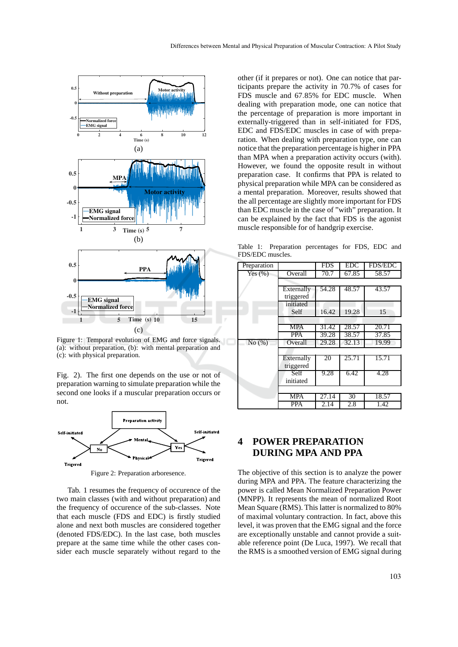

Figure 1: Temporal evolution of EMG and force signals. (a): without preparation, (b): with mental preparation and (c): with physical preparation.

Fig. 2). The first one depends on the use or not of preparation warning to simulate preparation while the second one looks if a muscular preparation occurs or not.



Figure 2: Preparation arboresence.

Tab. 1 resumes the frequency of occurence of the two main classes (with and without preparation) and the frequency of occurence of the sub-classes. Note that each muscle (FDS and EDC) is firstly studied alone and next both muscles are considered together (denoted FDS/EDC). In the last case, both muscles prepare at the same time while the other cases consider each muscle separately without regard to the

other (if it prepares or not). One can notice that participants prepare the activity in 70.7% of cases for FDS muscle and 67.85% for EDC muscle. When dealing with preparation mode, one can notice that the percentage of preparation is more important in externally-triggered than in self-initiated for FDS, EDC and FDS/EDC muscles in case of with preparation. When dealing with preparation type, one can notice that the preparation percentage is higher in PPA than MPA when a preparation activity occurs (with). However, we found the opposite result in without preparation case. It confirms that PPA is related to physical preparation while MPA can be considered as a mental preparation. Moreover, results showed that the all percentage are slightly more important for FDS than EDC muscle in the case of "with" preparation. It can be explained by the fact that FDS is the agonist muscle responsible for of handgrip exercise.

Table 1: Preparation percentages for FDS, EDC and FDS/EDC muscles.

| Preparation |            | <b>FDS</b> | <b>EDC</b> | <b>FDS/EDC</b> |
|-------------|------------|------------|------------|----------------|
| Yes $(\% )$ | Overall    | 70.7       | 67.85      | 58.57          |
|             |            |            |            |                |
|             | Externally | 54.28      | 48.57      | 43.57          |
|             | triggered  |            |            |                |
|             | initiated  |            |            |                |
|             | Self       | 16.42      | 19.28      | 15             |
|             |            |            |            |                |
|             | <b>MPA</b> | 31.42      | 28.57      | 20.71          |
|             | <b>PPA</b> | 39.28      | 38.57      | 37.85          |
| No(%)       | Overall    | 29.28      | 32.13      | 19.99          |
|             |            |            |            |                |
|             | Externally | 20         | 25.71      | 15.71          |
|             | triggered  |            |            |                |
|             | Self       | 9.28       | 6.42       | 4.28           |
|             | initiated  |            |            |                |
|             |            |            |            |                |
|             | <b>MPA</b> | 27.14      | 30         | 18.57          |
|             | <b>PPA</b> | 2.14       | 2.8        | 1.42           |

# **4 POWER PREPARATION DURING MPA AND PPA**

The objective of this section is to analyze the power during MPA and PPA. The feature characterizing the power is called Mean Normalized Preparation Power (MNPP). It represents the mean of normalized Root Mean Square (RMS). This latter is normalized to 80% of maximal voluntary contraction. In fact, above this level, it was proven that the EMG signal and the force are exceptionally unstable and cannot provide a suitable reference point (De Luca, 1997). We recall that the RMS is a smoothed version of EMG signal during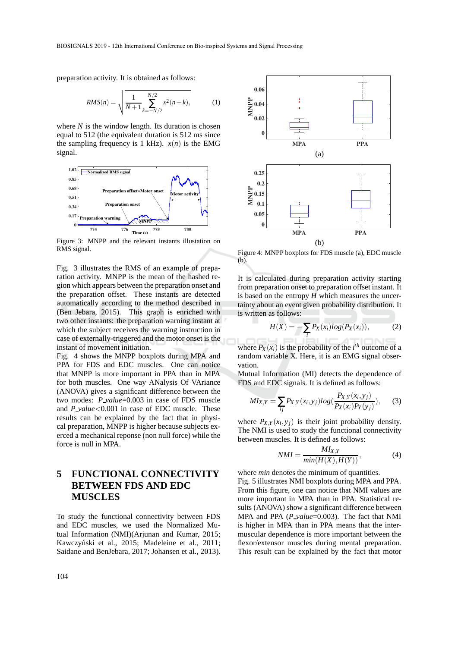preparation activity. It is obtained as follows:

$$
RMS(n) = \sqrt{\frac{1}{N+1} \sum_{k=-N/2}^{N/2} x^2(n+k)},
$$
 (1)

where  $N$  is the window length. Its duration is chosen equal to 512 (the equivalent duration is 512 ms since the sampling frequency is 1 kHz).  $x(n)$  is the EMG signal.



Figure 3: MNPP and the relevant instants illustation on RMS signal.

Fig. 3 illustrates the RMS of an example of preparation activity. MNPP is the mean of the hashed region which appears between the preparation onset and the preparation offset. These instants are detected automatically according to the method described in (Ben Jebara, 2015). This graph is enriched with two other instants: the preparation warning instant at which the subject receives the warning instruction in case of externally-triggered and the motor onset is the instant of movement initiation.

Fig. 4 shows the MNPP boxplots during MPA and PPA for FDS and EDC muscles. One can notice that MNPP is more important in PPA than in MPA for both muscles. One way ANalysis Of VAriance (ANOVA) gives a significant difference between the two modes: *P value*=0.003 in case of FDS muscle and *P value*<0.001 in case of EDC muscle. These results can be explained by the fact that in physical preparation, MNPP is higher because subjects exerced a mechanical reponse (non null force) while the force is null in MPA.

# **5 FUNCTIONAL CONNECTIVITY BETWEEN FDS AND EDC MUSCLES**

To study the functional connectivity between FDS and EDC muscles, we used the Normalized Mutual Information (NMI)(Arjunan and Kumar, 2015; Kawczyński et al., 2015; Madeleine et al., 2011; Saidane and BenJebara, 2017; Johansen et al., 2013).



Figure 4: MNPP boxplots for FDS muscle (a), EDC muscle (b).

It is calculated during preparation activity starting from preparation onset to preparation offset instant. It is based on the entropy  $H$  which measures the uncertainty about an event given probability distribution. It is written as follows:

$$
H(X) = -\sum_{i} P_X(x_i) \log(P_X(x_i)), \qquad (2)
$$

where  $P_X(x_i)$  is the probability of the *i*<sup>th</sup> outcome of a random variable X. Here, it is an EMG signal observation.

Mutual Information (MI) detects the dependence of FDS and EDC signals. It is defined as follows:

$$
MI_{X,Y} = \sum_{ij} P_{X,Y}(x_i, y_j) log(\frac{P_{X,Y}(x_i, y_j)}{P_X(x_i) P_Y(y_j)}),
$$
 (3)

where  $P_{X,Y}(x_i, y_j)$  is their joint probability density. The NMI is used to study the functional connectivity between muscles. It is defined as follows:

$$
NMI = \frac{MI_{X,Y}}{min(H(X), H(Y))},
$$
\n(4)

where *min* denotes the minimum of quantities.

Fig. 5 illustrates NMI boxplots during MPA and PPA. From this figure, one can notice that NMI values are more important in MPA than in PPA. Statistical results (ANOVA) show a significant difference between MPA and PPA (*P value*=0.003). The fact that NMI is higher in MPA than in PPA means that the intermuscular dependence is more important between the flexor/extensor muscles during mental preparation. This result can be explained by the fact that motor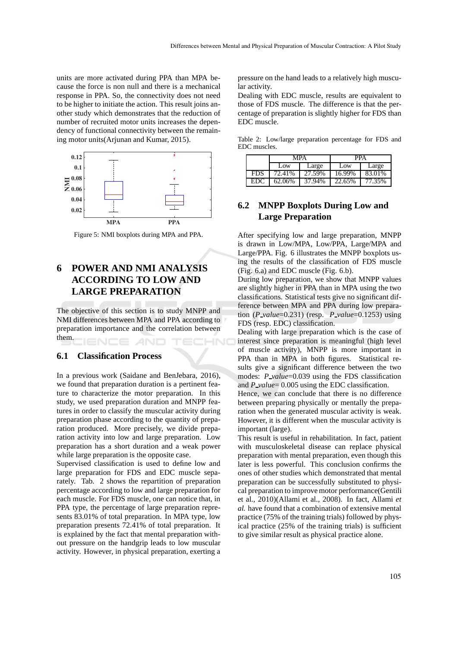units are more activated during PPA than MPA because the force is non null and there is a mechanical response in PPA. So, the connectivity does not need to be higher to initiate the action. This result joins another study which demonstrates that the reduction of number of recruited motor units increases the dependency of functional connectivity between the remaining motor units(Arjunan and Kumar, 2015).



Figure 5: NMI boxplots during MPA and PPA.

# **6 POWER AND NMI ANALYSIS ACCORDING TO LOW AND LARGE PREPARATION**

The objective of this section is to study MNPP and NMI differences between MPA and PPA according to preparation importance and the correlation between them.

#### **6.1 Classification Process**

In a previous work (Saidane and BenJebara, 2016), we found that preparation duration is a pertinent feature to characterize the motor preparation. In this study, we used preparation duration and MNPP features in order to classify the muscular activity during preparation phase according to the quantity of preparation produced. More precisely, we divide preparation activity into low and large preparation. Low preparation has a short duration and a weak power while large preparation is the opposite case.

Supervised classification is used to define low and large preparation for FDS and EDC muscle separately. Tab. 2 shows the repartition of preparation percentage according to low and large preparation for each muscle. For FDS muscle, one can notice that, in PPA type, the percentage of large preparation represents 83.01% of total preparation. In MPA type, low preparation presents 72.41% of total preparation. It is explained by the fact that mental preparation without pressure on the handgrip leads to low muscular activity. However, in physical preparation, exerting a pressure on the hand leads to a relatively high muscular activity.

Dealing with EDC muscle, results are equivalent to those of FDS muscle. The difference is that the percentage of preparation is slightly higher for FDS than EDC muscle.

Table 2: Low/large preparation percentage for FDS and EDC muscles.

|            | MPA    |        | <b>PPA</b> |        |
|------------|--------|--------|------------|--------|
|            | Low    | Large  | Low        | Large  |
| <b>FDS</b> | 72.41% | 27.59% | 16.99%     | 83.01% |
| EDC        | 62.06% | 37.94% | 22.65%     | 77.35% |

## **6.2 MNPP Boxplots During Low and Large Preparation**

After specifying low and large preparation, MNPP is drawn in Low/MPA, Low/PPA, Large/MPA and Large/PPA. Fig. 6 illustrates the MNPP boxplots using the results of the classification of FDS muscle (Fig. 6.a) and EDC muscle (Fig. 6.b).

During low preparation, we show that MNPP values are slightly higher in PPA than in MPA using the two classifications. Statistical tests give no significant difference between MPA and PPA during low preparation (*P value*=0.231) (resp. *P value*=0.1253) using FDS (resp. EDC) classification.

Dealing with large preparation which is the case of interest since preparation is meaningful (high level of muscle activity), MNPP is more important in PPA than in MPA in both figures. Statistical results give a significant difference between the two modes: *P\_value*=0.039 using the FDS classification and *P\_value*= 0.005 using the EDC classification.

Hence, we can conclude that there is no difference between preparing physically or mentally the preparation when the generated muscular activity is weak. However, it is different when the muscular activity is important (large).

This result is useful in rehabilitation. In fact, patient with musculoskeletal disease can replace physical preparation with mental preparation, even though this later is less powerful. This conclusion confirms the ones of other studies which demonstrated that mental preparation can be successfully substituted to physical preparation to improve motor performance(Gentili et al., 2010)(Allami et al., 2008). In fact, Allami *et al.* have found that a combination of extensive mental practice (75% of the training trials) followed by physical practice (25% of the training trials) is sufficient to give similar result as physical practice alone.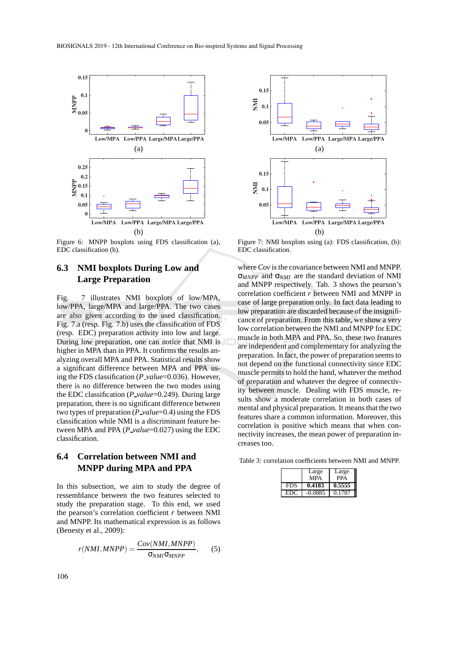

Figure 6: MNPP boxplots using FDS classification (a), EDC classification (b).

## **6.3 NMI boxplots During Low and Large Preparation**

Fig. 7 illustrates NMI boxplots of low/MPA, low/PPA, large/MPA and large/PPA. The two cases are also given according to the used classification. Fig. 7.a (resp. Fig. 7.b) uses the classification of FDS (resp. EDC) preparation activity into low and large. During low preparation, one can notice that NMI is higher in MPA than in PPA. It confirms the results analyzing overall MPA and PPA. Statistical results show a significant difference between MPA and PPA using the FDS classification (*P value*=0.036). However, there is no difference between the two modes using the EDC classification (*P value*=0.249). During large preparation, there is no significant difference between two types of preparation (*P\_value*=0.4) using the FDS classification while NMI is a discriminant feature between MPA and PPA (*P\_value*=0.027) using the EDC classification.

#### **6.4 Correlation between NMI and MNPP during MPA and PPA**

In this subsection, we aim to study the degree of ressemblance between the two features selected to study the preparation stage. To this end, we used the pearson's correlation coefficient *r* between NMI and MNPP. Its mathematical expression is as follows (Benesty et al., 2009):

$$
r(NMI, MNPP) = \frac{Cov(NMI, MNPP)}{\sigma_{NMI}\sigma_{MNPP}},\qquad(5)
$$



Figure 7: NMI boxplots using (a): FDS classification, (b): EDC classification.

where *Cov* is the covariance between NMI and MNPP. σ*MNPP* and σ*NMI* are the standard deviation of NMI and MNPP respectively. Tab. 3 shows the pearson's correlation coefficient *r* between NMI and MNPP in case of large preparation only. In fact data leading to low preparation are discarded because of the insignificance of preparation. From this table, we show a very low correlation between the NMI and MNPP for EDC muscle in both MPA and PPA. So, these two features are independent and complementary for analyzing the preparation. In fact, the power of preparation seems to not depend on the functional connectivity since EDC muscle permits to hold the hand, whatever the method of preparation and whatever the degree of connectivity between muscle. Dealing with FDS muscle, results show a moderate correlation in both cases of mental and physical preparation. It means that the two features share a common information. Moreover, this correlation is positive which means that when connectivity increases, the mean power of preparation increases too.

Table 3: correlation coefficients between NMI and MNPP.

|            | Large<br>MPA | Large<br>PPA |
|------------|--------------|--------------|
| <b>FDS</b> | 0.4183       | 0.5555       |
| EDC        | $-0.0885$    | 0.1787       |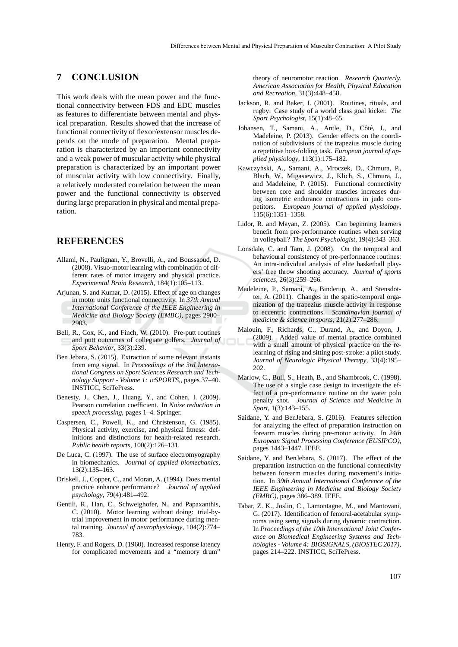#### **7 CONCLUSION**

This work deals with the mean power and the functional connectivity between FDS and EDC muscles as features to differentiate between mental and physical preparation. Results showed that the increase of functional connectivity of flexor/extensor muscles depends on the mode of preparation. Mental preparation is characterized by an important connectivity and a weak power of muscular activity while physical preparation is characterized by an important power of muscular activity with low connectivity. Finally, a relatively moderated correlation between the mean power and the functional connectivity is observed during large preparation in physical and mental preparation.

#### **REFERENCES**

- Allami, N., Paulignan, Y., Brovelli, A., and Boussaoud, D. (2008). Visuo-motor learning with combination of different rates of motor imagery and physical practice. *Experimental Brain Research*, 184(1):105–113.
- Arjunan, S. and Kumar, D. (2015). Effect of age on changes in motor units functional connectivity. In *37th Annual International Conference of the IEEE Engineering in Medicine and Biology Society (EMBC)*, pages 2900– 2903.
- Bell, R., Cox, K., and Finch, W. (2010). Pre-putt routines and putt outcomes of collegiate golfers. *Journal of Sport Behavior*, 33(3):239.
- Ben Jebara, S. (2015). Extraction of some relevant instants from emg signal. In *Proceedings of the 3rd International Congress on Sport Sciences Research and Technology Support - Volume 1: icSPORTS,*, pages 37–40. INSTICC, SciTePress.
- Benesty, J., Chen, J., Huang, Y., and Cohen, I. (2009). Pearson correlation coefficient. In *Noise reduction in speech processing*, pages 1–4. Springer.
- Caspersen, C., Powell, K., and Christenson, G. (1985). Physical activity, exercise, and physical fitness: definitions and distinctions for health-related research. *Public health reports*, 100(2):126–131.
- De Luca, C. (1997). The use of surface electromyography in biomechanics. *Journal of applied biomechanics*, 13(2):135–163.
- Driskell, J., Copper, C., and Moran, A. (1994). Does mental practice enhance performance? *Journal of applied psychology*, 79(4):481–492.
- Gentili, R., Han, C., Schweighofer, N., and Papaxanthis, C. (2010). Motor learning without doing: trial-bytrial improvement in motor performance during mental training. *Journal of neurophysiology*, 104(2):774– 783.
- Henry, F. and Rogers, D. (1960). Increased response latency for complicated movements and a "memory drum"

theory of neuromotor reaction. *Research Quarterly. American Association for Health, Physical Education and Recreation*, 31(3):448–458.

- Jackson, R. and Baker, J. (2001). Routines, rituals, and rugby: Case study of a world class goal kicker. *The Sport Psychologist*, 15(1):48–65.
- Johansen, T., Samani, A., Antle, D., Côté, J., and Madeleine, P. (2013). Gender effects on the coordination of subdivisions of the trapezius muscle during a repetitive box-folding task. *European journal of applied physiology*, 113(1):175–182.
- Kawczyński, A., Samani, A., Mroczek, D., Chmura, P., Błach, W., Migasiewicz, J., Klich, S., Chmura, J., and Madeleine, P. (2015). Functional connectivity between core and shoulder muscles increases during isometric endurance contractions in judo competitors. *European journal of applied physiology*, 115(6):1351–1358.
- Lidor, R. and Mayan, Z. (2005). Can beginning learners benefit from pre-performance routines when serving in volleyball? *The Sport Psychologist*, 19(4):343–363.
- Lonsdale, C. and Tam, J. (2008). On the temporal and behavioural consistency of pre-performance routines: An intra-individual analysis of elite basketball players' free throw shooting accuracy. *Journal of sports sciences*, 26(3):259–266.
- Madeleine, P., Samani, A., Binderup, A., and Stensdotter, A. (2011). Changes in the spatio-temporal organization of the trapezius muscle activity in response to eccentric contractions. *Scandinavian journal of medicine & science in sports*, 21(2):277–286.
- Malouin, F., Richards, C., Durand, A., and Doyon, J. (2009). Added value of mental practice combined with a small amount of physical practice on the relearning of rising and sitting post-stroke: a pilot study. *Journal of Neurologic Physical Therapy*, 33(4):195– 202.
- Marlow, C., Bull, S., Heath, B., and Shambrook, C. (1998). The use of a single case design to investigate the effect of a pre-performance routine on the water polo penalty shot. *Journal of Science and Medicine in Sport*, 1(3):143–155.
- Saidane, Y. and BenJebara, S. (2016). Features selection for analyzing the effect of preparation instruction on forearm muscles during pre-motor activity. In *24th European Signal Processing Conference (EUSIPCO)*, pages 1443–1447. IEEE.
- Saidane, Y. and BenJebara, S. (2017). The effect of the preparation instruction on the functional connectivity between forearm muscles during movement's initiation. In *39th Annual International Conference of the IEEE Engineering in Medicine and Biology Society (EMBC)*, pages 386–389. IEEE.
- Tabar, Z. K., Joslin, C., Lamontagne, M., and Mantovani, G. (2017). Identification of femoral-acetabular symptoms using semg signals during dynamic contraction. In *Proceedings of the 10th International Joint Conference on Biomedical Engineering Systems and Technologies - Volume 4: BIOSIGNALS, (BIOSTEC 2017)*, pages 214–222. INSTICC, SciTePress.